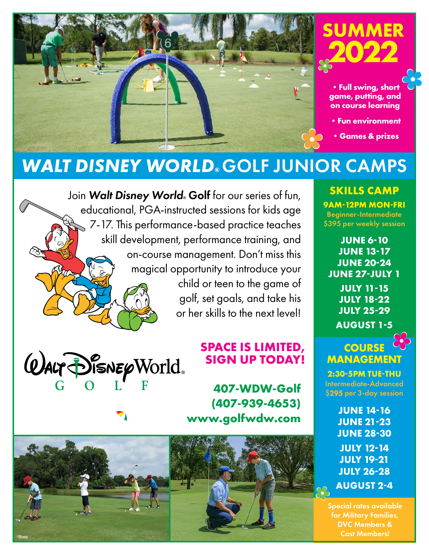

# *WALT DISNEY WORLD®* GOLF JUNIOR CAMPS

Join Walt Disney World<sup>®</sup> Golf for our series of fun, educational, PGA-instructed sessions for kids age 7-17. This performance-based practice teaches skill development, performance training, and on-course management. Don't miss this magical opportunity to introduce your child or teen to the game of golf, set goals, and take his or her skills to the next level!



### **SPACE IS LIMITED, SIGN UP TODAY!**

**407-WDW-Golf (407-939-4653) www.golfwdw.com**



**SKILLS CAMP 9AM-12PM MON-FRI** Beginner-Intermediate \$395 per weekly session

**JUNE 6-10 JUNE 13-17 JUNE 20-24 JUNE 27-JULY 1 JULY 11-15 JULY 18-22 JULY 25-29 AUGUST 1-5**

#### **COURSE MANAGEMENT**

**2:30-5PM TUE-THU**  Intermediate-Advanced \$295 per 3-day session

> **JUNE 14-16 JUNE 21-23 JUNE 28-30 JULY 12-14 JULY 19-21 JULY 26-28 AUGUST 2-4**

Special rates available for Military Families, DVC Members & Cast Members!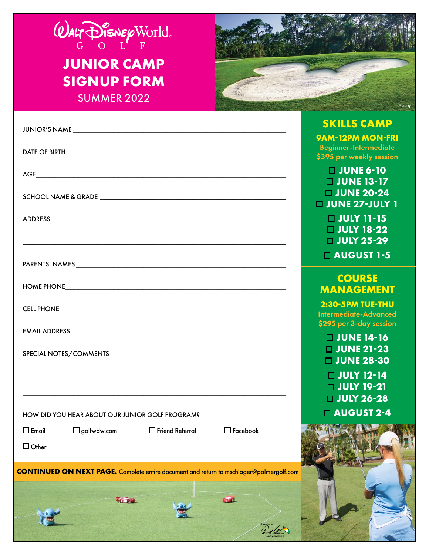

## **JUNIOR CAMP SIGNUP FORM SUMMER 2022**



|                                                                                                | <b>SKILLS CAMP</b>                                      |
|------------------------------------------------------------------------------------------------|---------------------------------------------------------|
|                                                                                                | <b>9AM-12PM MON-FRI</b><br><b>Beginner-Intermediate</b> |
|                                                                                                | \$395 per weekly session                                |
|                                                                                                | $\Box$ JUNE 6-10                                        |
|                                                                                                | $\Box$ JUNE 13-17                                       |
|                                                                                                | $\Box$ JUNE 20-24                                       |
|                                                                                                | $\Box$ JUNE 27-JULY 1                                   |
|                                                                                                | $\Box$ JULY 11-15                                       |
|                                                                                                | $\Box$ JULY 18-22<br><b>U JULY 25-29</b>                |
|                                                                                                |                                                         |
|                                                                                                | <b>LAUGUST 1-5</b>                                      |
|                                                                                                | <b>COURSE</b>                                           |
|                                                                                                | <b>MANAGEMENT</b>                                       |
|                                                                                                | 2:30-5PM TUE-THU                                        |
|                                                                                                | <b>Intermediate-Advanced</b>                            |
|                                                                                                | \$295 per 3-day session                                 |
|                                                                                                | <b>UUNE 14-16</b>                                       |
| SPECIAL NOTES/COMMENTS                                                                         | $\Box$ JUNE 21-23                                       |
|                                                                                                | $\Box$ JUNE 28-30                                       |
|                                                                                                | $\Box$ JULY 12-14                                       |
|                                                                                                | <b>UULY 19-21</b><br><b>U JULY 26-28</b>                |
|                                                                                                | $\Box$ AUGUST 2-4                                       |
| HOW DID YOU HEAR ABOUT OUR JUNIOR GOLF PROGRAM?                                                |                                                         |
| $\square$ Email $\square$ golfwdw.com $\square$ Friend Referral $\square$ Facebook             | <b>PARK 11 12 134</b>                                   |
|                                                                                                |                                                         |
|                                                                                                |                                                         |
| <b>CONTINUED ON NEXT PAGE.</b> Complete entire document and return to mschlager@palmergolf.com |                                                         |
|                                                                                                |                                                         |
| <b>POL PIP</b>                                                                                 |                                                         |
|                                                                                                |                                                         |
|                                                                                                |                                                         |
|                                                                                                |                                                         |